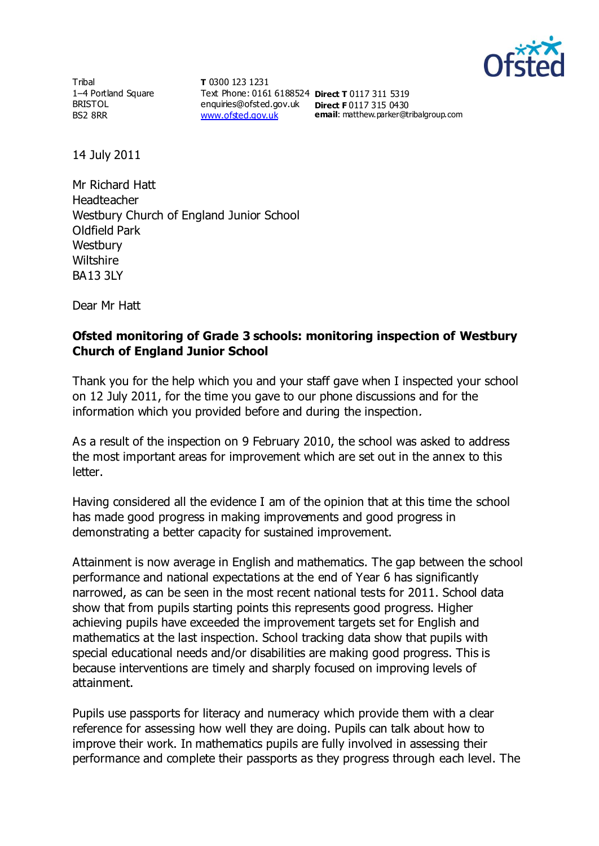

**Tribal** 1–4 Portland Square BRISTOL BS2 8RR

**T** 0300 123 1231 Text Phone: 0161 6188524 **Direct T** 0117 311 5319 enquiries@ofsted.gov.uk **Direct F** 0117 315 0430 [www.ofsted.gov.uk](http://www.ofsted.gov.uk/)

**email**: matthew.parker@tribalgroup.com

14 July 2011

Mr Richard Hatt Headteacher Westbury Church of England Junior School Oldfield Park **Westbury Wiltshire** BA13 3LY

Dear Mr Hatt

## **Ofsted monitoring of Grade 3 schools: monitoring inspection of Westbury Church of England Junior School**

Thank you for the help which you and your staff gave when I inspected your school on 12 July 2011, for the time you gave to our phone discussions and for the information which you provided before and during the inspection.

As a result of the inspection on 9 February 2010, the school was asked to address the most important areas for improvement which are set out in the annex to this letter.

Having considered all the evidence I am of the opinion that at this time the school has made good progress in making improvements and good progress in demonstrating a better capacity for sustained improvement.

Attainment is now average in English and mathematics. The gap between the school performance and national expectations at the end of Year 6 has significantly narrowed, as can be seen in the most recent national tests for 2011. School data show that from pupils starting points this represents good progress. Higher achieving pupils have exceeded the improvement targets set for English and mathematics at the last inspection. School tracking data show that pupils with special educational needs and/or disabilities are making good progress. This is because interventions are timely and sharply focused on improving levels of attainment.

Pupils use passports for literacy and numeracy which provide them with a clear reference for assessing how well they are doing. Pupils can talk about how to improve their work. In mathematics pupils are fully involved in assessing their performance and complete their passports as they progress through each level. The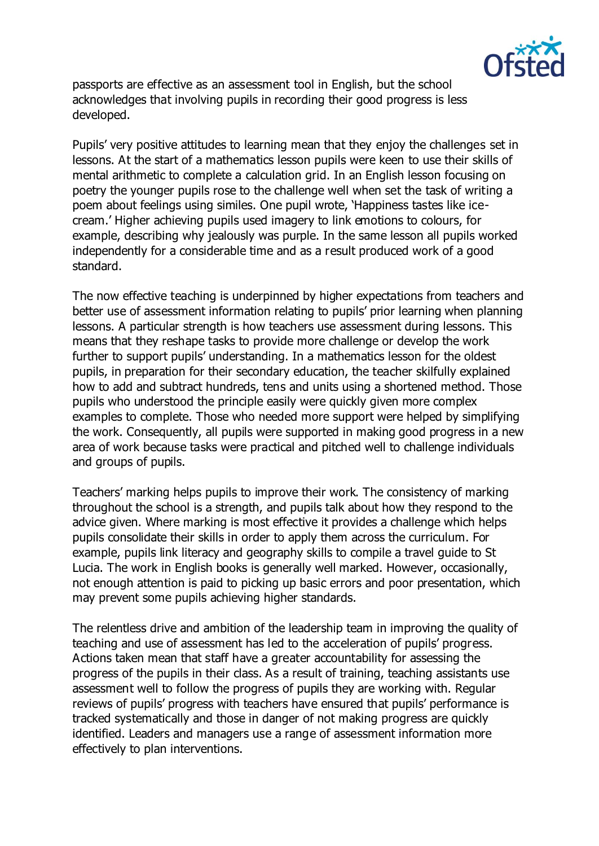

passports are effective as an assessment tool in English, but the school acknowledges that involving pupils in recording their good progress is less developed.

Pupils' very positive attitudes to learning mean that they enjoy the challenges set in lessons. At the start of a mathematics lesson pupils were keen to use their skills of mental arithmetic to complete a calculation grid. In an English lesson focusing on poetry the younger pupils rose to the challenge well when set the task of writing a poem about feelings using similes. One pupil wrote, 'Happiness tastes like icecream.' Higher achieving pupils used imagery to link emotions to colours, for example, describing why jealously was purple. In the same lesson all pupils worked independently for a considerable time and as a result produced work of a good standard.

The now effective teaching is underpinned by higher expectations from teachers and better use of assessment information relating to pupils' prior learning when planning lessons. A particular strength is how teachers use assessment during lessons. This means that they reshape tasks to provide more challenge or develop the work further to support pupils' understanding. In a mathematics lesson for the oldest pupils, in preparation for their secondary education, the teacher skilfully explained how to add and subtract hundreds, tens and units using a shortened method. Those pupils who understood the principle easily were quickly given more complex examples to complete. Those who needed more support were helped by simplifying the work. Consequently, all pupils were supported in making good progress in a new area of work because tasks were practical and pitched well to challenge individuals and groups of pupils.

Teachers' marking helps pupils to improve their work. The consistency of marking throughout the school is a strength, and pupils talk about how they respond to the advice given. Where marking is most effective it provides a challenge which helps pupils consolidate their skills in order to apply them across the curriculum. For example, pupils link literacy and geography skills to compile a travel guide to St Lucia. The work in English books is generally well marked. However, occasionally, not enough attention is paid to picking up basic errors and poor presentation, which may prevent some pupils achieving higher standards.

The relentless drive and ambition of the leadership team in improving the quality of teaching and use of assessment has led to the acceleration of pupils' progress. Actions taken mean that staff have a greater accountability for assessing the progress of the pupils in their class. As a result of training, teaching assistants use assessment well to follow the progress of pupils they are working with. Regular reviews of pupils' progress with teachers have ensured that pupils' performance is tracked systematically and those in danger of not making progress are quickly identified. Leaders and managers use a range of assessment information more effectively to plan interventions.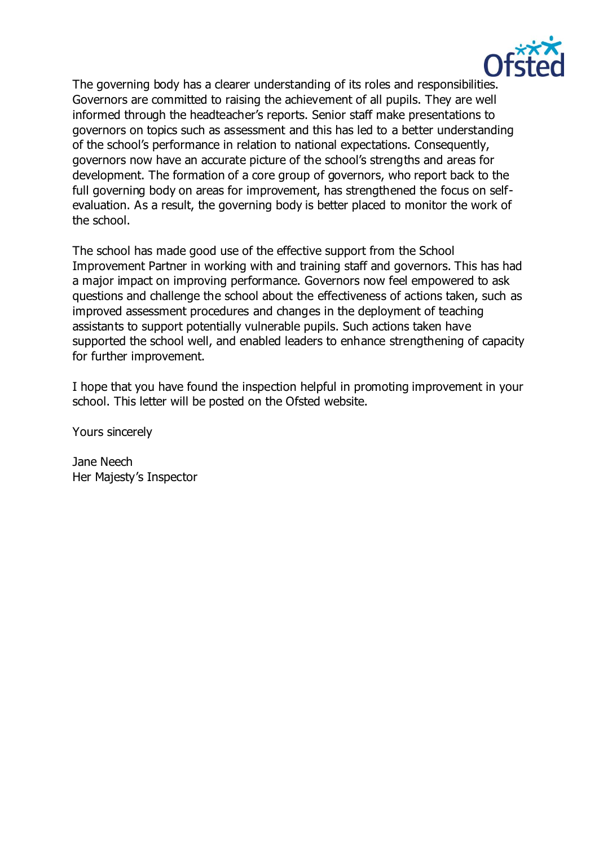

The governing body has a clearer understanding of its roles and responsibilities. Governors are committed to raising the achievement of all pupils. They are well informed through the headteacher's reports. Senior staff make presentations to governors on topics such as assessment and this has led to a better understanding of the school's performance in relation to national expectations. Consequently, governors now have an accurate picture of the school's strengths and areas for development. The formation of a core group of governors, who report back to the full governing body on areas for improvement, has strengthened the focus on selfevaluation. As a result, the governing body is better placed to monitor the work of the school.

The school has made good use of the effective support from the School Improvement Partner in working with and training staff and governors. This has had a major impact on improving performance. Governors now feel empowered to ask questions and challenge the school about the effectiveness of actions taken, such as improved assessment procedures and changes in the deployment of teaching assistants to support potentially vulnerable pupils. Such actions taken have supported the school well, and enabled leaders to enhance strengthening of capacity for further improvement.

I hope that you have found the inspection helpful in promoting improvement in your school. This letter will be posted on the Ofsted website.

Yours sincerely

Jane Neech Her Majesty's Inspector